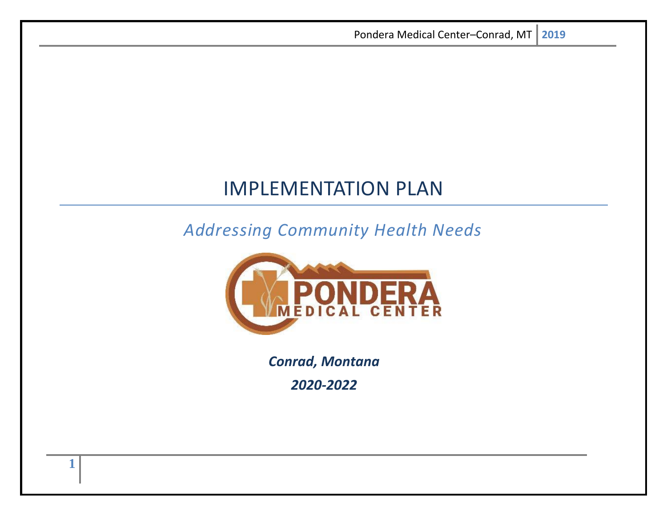# IMPLEMENTATION PLAN

# *Addressing Community Health Needs*



*Conrad, Montana*

*2020-2022*

**1**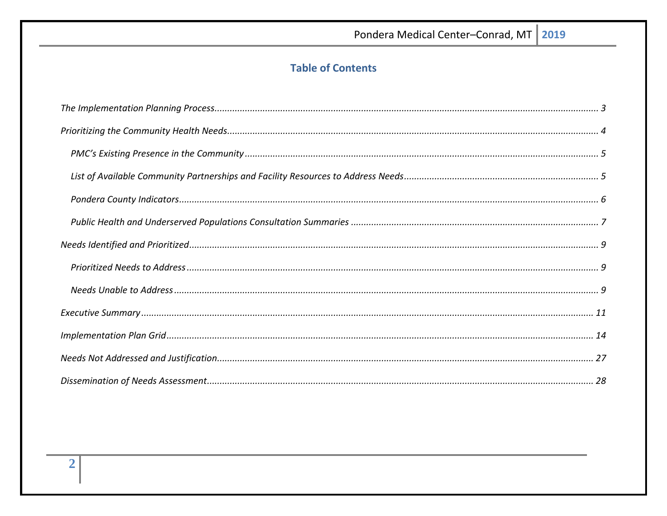## **Table of Contents**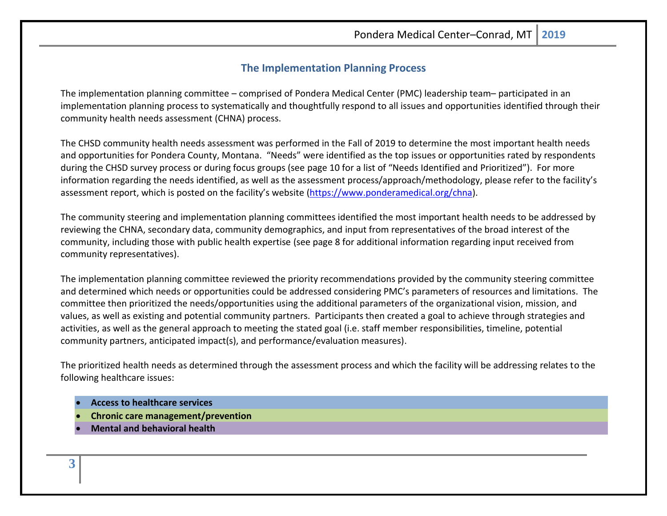## **The Implementation Planning Process**

<span id="page-2-0"></span>The implementation planning committee – comprised of Pondera Medical Center (PMC) leadership team– participated in an implementation planning process to systematically and thoughtfully respond to all issues and opportunities identified through their community health needs assessment (CHNA) process.

The CHSD community health needs assessment was performed in the Fall of 2019 to determine the most important health needs and opportunities for Pondera County, Montana. "Needs" were identified as the top issues or opportunities rated by respondents during the CHSD survey process or during focus groups (see page 10 for a list of "Needs Identified and Prioritized"). For more information regarding the needs identified, as well as the assessment process/approach/methodology, please refer to the facility's assessment report, which is posted on the facility's website [\(https://www.ponderamedical.org/chna\)](https://www.ponderamedical.org/chna).

The community steering and implementation planning committees identified the most important health needs to be addressed by reviewing the CHNA, secondary data, community demographics, and input from representatives of the broad interest of the community, including those with public health expertise (see page 8 for additional information regarding input received from community representatives).

The implementation planning committee reviewed the priority recommendations provided by the community steering committee and determined which needs or opportunities could be addressed considering PMC's parameters of resources and limitations. The committee then prioritized the needs/opportunities using the additional parameters of the organizational vision, mission, and values, as well as existing and potential community partners. Participants then created a goal to achieve through strategies and activities, as well as the general approach to meeting the stated goal (i.e. staff member responsibilities, timeline, potential community partners, anticipated impact(s), and performance/evaluation measures).

The prioritized health needs as determined through the assessment process and which the facility will be addressing relates to the following healthcare issues:

- **Access to healthcare services**
- **Chronic care management/prevention**
- **Mental and behavioral health**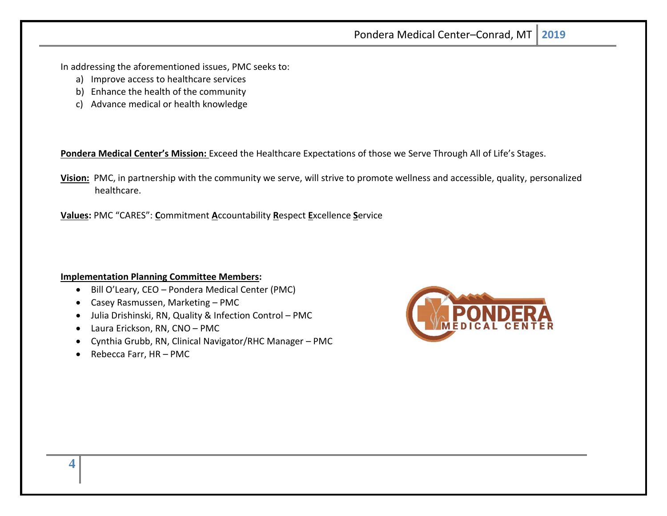In addressing the aforementioned issues, PMC seeks to:

- a) Improve access to healthcare services
- b) Enhance the health of the community
- c) Advance medical or health knowledge

**Pondera Medical Center's Mission:** Exceed the Healthcare Expectations of those we Serve Through All of Life's Stages.

**Vision:** PMC, in partnership with the community we serve, will strive to promote wellness and accessible, quality, personalized healthcare.

**Values:** PMC "CARES": **C**ommitment **A**ccountability **R**espect **E**xcellence **S**ervice

#### **Implementation Planning Committee Members:**

- <span id="page-3-0"></span>• Bill O'Leary, CEO – Pondera Medical Center (PMC)
- Casey Rasmussen, Marketing PMC
- Julia Drishinski, RN, Quality & Infection Control PMC
- Laura Erickson, RN, CNO PMC
- Cynthia Grubb, RN, Clinical Navigator/RHC Manager PMC
- Rebecca Farr, HR PMC

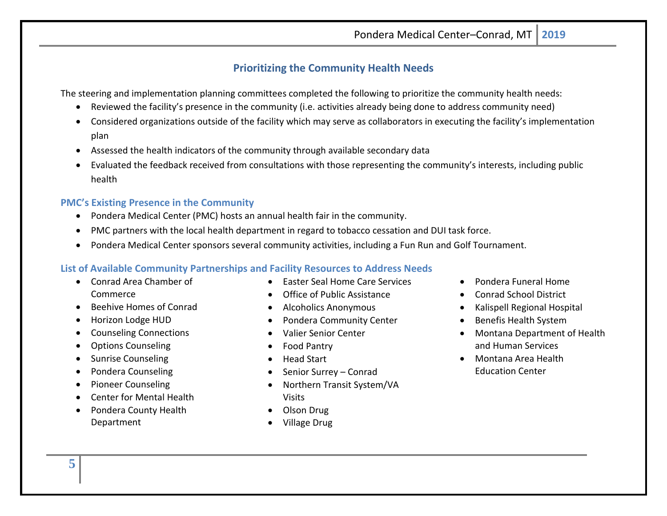## **Prioritizing the Community Health Needs**

The steering and implementation planning committees completed the following to prioritize the community health needs:

- Reviewed the facility's presence in the community (i.e. activities already being done to address community need)
- Considered organizations outside of the facility which may serve as collaborators in executing the facility's implementation plan
- Assessed the health indicators of the community through available secondary data
- Evaluated the feedback received from consultations with those representing the community's interests, including public health

#### <span id="page-4-0"></span>**PMC's Existing Presence in the Community**

- Pondera Medical Center (PMC) hosts an annual health fair in the community.
- PMC partners with the local health department in regard to tobacco cessation and DUI task force.
- Pondera Medical Center sponsors several community activities, including a Fun Run and Golf Tournament.

#### <span id="page-4-1"></span>**List of Available Community Partnerships and Facility Resources to Address Needs**

- Conrad Area Chamber of Commerce
- Beehive Homes of Conrad
- Horizon Lodge HUD
- Counseling Connections
- Options Counseling
- Sunrise Counseling
- Pondera Counseling
- Pioneer Counseling
- Center for Mental Health
- Pondera County Health Department
- Easter Seal Home Care Services
- Office of Public Assistance
- Alcoholics Anonymous
- Pondera Community Center
- Valier Senior Center
- Food Pantry
- Head Start
- Senior Surrey Conrad
- Northern Transit System/VA Visits
- Olson Drug
- Village Drug
- <span id="page-4-2"></span>• Pondera Funeral Home
- Conrad School District
- Kalispell Regional Hospital
- Benefis Health System
- Montana Department of Health and Human Services
- Montana Area Health Education Center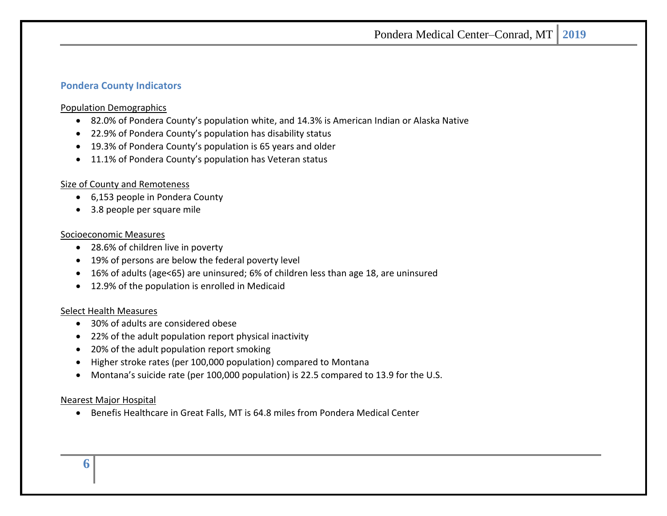#### **Pondera County Indicators**

#### Population Demographics

- 82.0% of Pondera County's population white, and 14.3% is American Indian or Alaska Native
- 22.9% of Pondera County's population has disability status
- 19.3% of Pondera County's population is 65 years and older
- 11.1% of Pondera County's population has Veteran status

#### Size of County and Remoteness

- 6,153 people in Pondera County
- 3.8 people per square mile

#### Socioeconomic Measures

- 28.6% of children live in poverty
- 19% of persons are below the federal poverty level
- 16% of adults (age<65) are uninsured; 6% of children less than age 18, are uninsured
- 12.9% of the population is enrolled in Medicaid

#### Select Health Measures

- 30% of adults are considered obese
- 22% of the adult population report physical inactivity
- 20% of the adult population report smoking
- Higher stroke rates (per 100,000 population) compared to Montana
- Montana's suicide rate (per 100,000 population) is 22.5 compared to 13.9 for the U.S.

#### <span id="page-5-0"></span>Nearest Major Hospital

• Benefis Healthcare in Great Falls, MT is 64.8 miles from Pondera Medical Center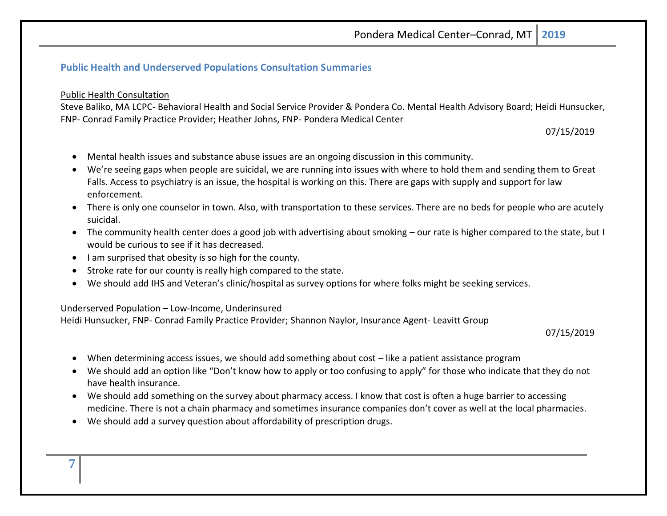## **Public Health and Underserved Populations Consultation Summaries**

#### Public Health Consultation

Steve Baliko, MA LCPC- Behavioral Health and Social Service Provider & Pondera Co. Mental Health Advisory Board; Heidi Hunsucker, FNP- Conrad Family Practice Provider; Heather Johns, FNP- Pondera Medical Center

07/15/2019

- Mental health issues and substance abuse issues are an ongoing discussion in this community.
- We're seeing gaps when people are suicidal, we are running into issues with where to hold them and sending them to Great Falls. Access to psychiatry is an issue, the hospital is working on this. There are gaps with supply and support for law enforcement.
- There is only one counselor in town. Also, with transportation to these services. There are no beds for people who are acutely suicidal.
- The community health center does a good job with advertising about smoking our rate is higher compared to the state, but I would be curious to see if it has decreased.
- I am surprised that obesity is so high for the county.
- Stroke rate for our county is really high compared to the state.
- We should add IHS and Veteran's clinic/hospital as survey options for where folks might be seeking services.

#### Underserved Population – Low-Income, Underinsured

Heidi Hunsucker, FNP- Conrad Family Practice Provider; Shannon Naylor, Insurance Agent- Leavitt Group

07/15/2019

- When determining access issues, we should add something about cost like a patient assistance program
- We should add an option like "Don't know how to apply or too confusing to apply" for those who indicate that they do not have health insurance.
- We should add something on the survey about pharmacy access. I know that cost is often a huge barrier to accessing medicine. There is not a chain pharmacy and sometimes insurance companies don't cover as well at the local pharmacies.
- We should add a survey question about affordability of prescription drugs.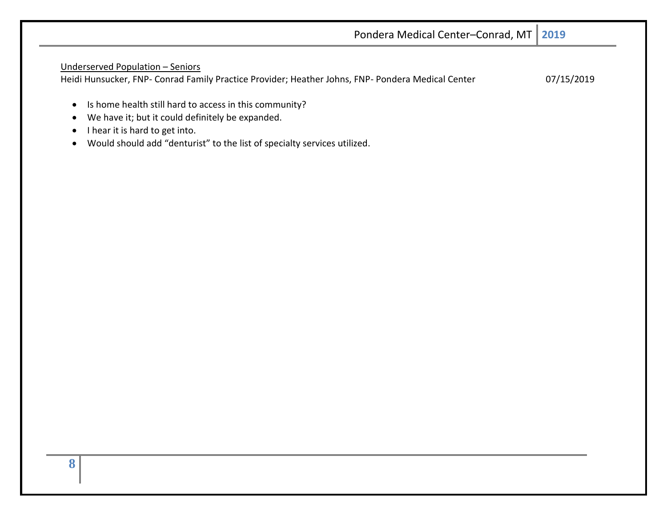|                                                                                                                                                                        | Pondera Medical Center-Conrad, MT   2019 |            |
|------------------------------------------------------------------------------------------------------------------------------------------------------------------------|------------------------------------------|------------|
| Underserved Population - Seniors<br>Heidi Hunsucker, FNP- Conrad Family Practice Provider; Heather Johns, FNP- Pondera Medical Center                                  |                                          | 07/15/2019 |
| Is home health still hard to access in this community?<br>$\bullet$<br>We have it; but it could definitely be expanded.<br>$\bullet$<br>I hear it is hard to get into. |                                          |            |

<span id="page-7-0"></span>• Would should add "denturist" to the list of specialty services utilized.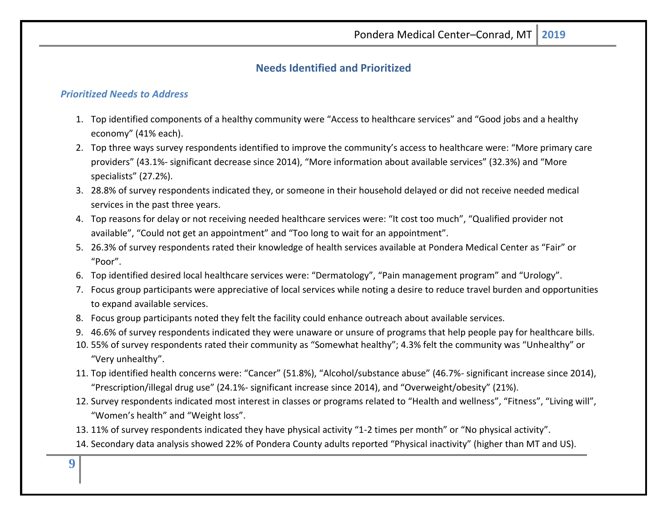## **Needs Identified and Prioritized**

#### <span id="page-8-0"></span>*Prioritized Needs to Address*

- <span id="page-8-1"></span>1. Top identified components of a healthy community were "Access to healthcare services" and "Good jobs and a healthy economy" (41% each).
- 2. Top three ways survey respondents identified to improve the community's access to healthcare were: "More primary care providers" (43.1%- significant decrease since 2014), "More information about available services" (32.3%) and "More specialists" (27.2%).
- 3. 28.8% of survey respondents indicated they, or someone in their household delayed or did not receive needed medical services in the past three years.
- 4. Top reasons for delay or not receiving needed healthcare services were: "It cost too much", "Qualified provider not available", "Could not get an appointment" and "Too long to wait for an appointment".
- 5. 26.3% of survey respondents rated their knowledge of health services available at Pondera Medical Center as "Fair" or "Poor".
- 6. Top identified desired local healthcare services were: "Dermatology", "Pain management program" and "Urology".
- 7. Focus group participants were appreciative of local services while noting a desire to reduce travel burden and opportunities to expand available services.
- 8. Focus group participants noted they felt the facility could enhance outreach about available services.
- 9. 46.6% of survey respondents indicated they were unaware or unsure of programs that help people pay for healthcare bills.
- 10. 55% of survey respondents rated their community as "Somewhat healthy"; 4.3% felt the community was "Unhealthy" or "Very unhealthy".
- 11. Top identified health concerns were: "Cancer" (51.8%), "Alcohol/substance abuse" (46.7%- significant increase since 2014), "Prescription/illegal drug use" (24.1%- significant increase since 2014), and "Overweight/obesity" (21%).
- 12. Survey respondents indicated most interest in classes or programs related to "Health and wellness", "Fitness", "Living will", "Women's health" and "Weight loss".
- 13. 11% of survey respondents indicated they have physical activity "1-2 times per month" or "No physical activity".
- 14. Secondary data analysis showed 22% of Pondera County adults reported "Physical inactivity" (higher than MT and US).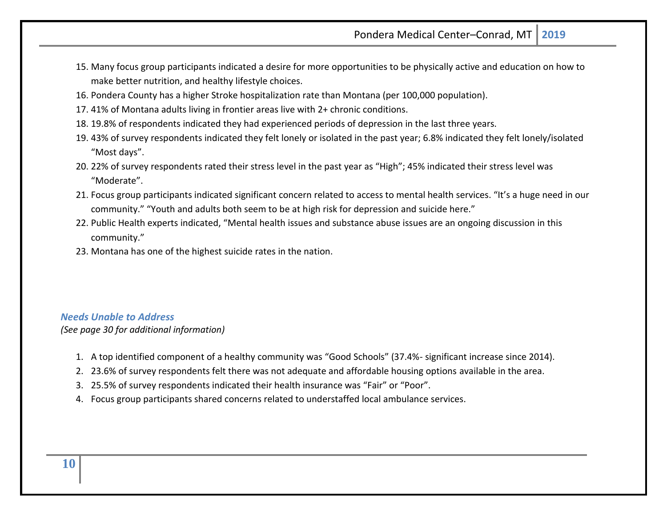- 15. Many focus group participants indicated a desire for more opportunities to be physically active and education on how to make better nutrition, and healthy lifestyle choices.
- 16. Pondera County has a higher Stroke hospitalization rate than Montana (per 100,000 population).
- 17. 41% of Montana adults living in frontier areas live with 2+ chronic conditions.
- 18. 19.8% of respondents indicated they had experienced periods of depression in the last three years.
- 19. 43% of survey respondents indicated they felt lonely or isolated in the past year; 6.8% indicated they felt lonely/isolated "Most days".
- 20. 22% of survey respondents rated their stress level in the past year as "High"; 45% indicated their stress level was "Moderate".
- 21. Focus group participants indicated significant concern related to access to mental health services. "It's a huge need in our community." "Youth and adults both seem to be at high risk for depression and suicide here."
- 22. Public Health experts indicated, "Mental health issues and substance abuse issues are an ongoing discussion in this community."
- 23. Montana has one of the highest suicide rates in the nation.

#### *Needs Unable to Address*

*(See page 30 for additional information)*

- 1. A top identified component of a healthy community was "Good Schools" (37.4%- significant increase since 2014).
- 2. 23.6% of survey respondents felt there was not adequate and affordable housing options available in the area.
- 3. 25.5% of survey respondents indicated their health insurance was "Fair" or "Poor".
- <span id="page-9-0"></span>4. Focus group participants shared concerns related to understaffed local ambulance services.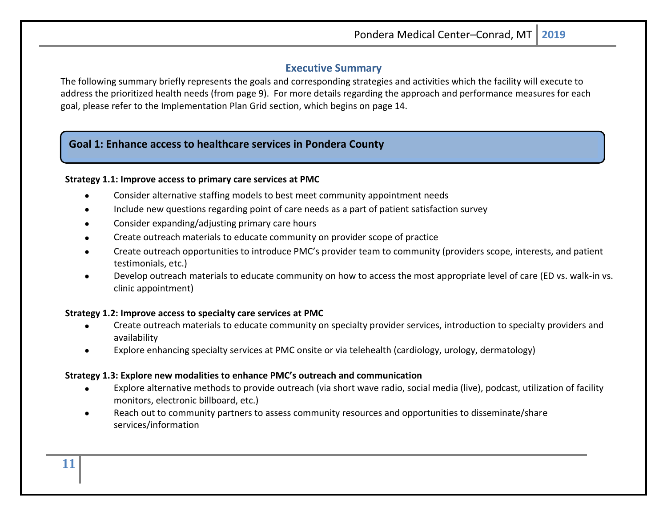## **Executive Summary**

The following summary briefly represents the goals and corresponding strategies and activities which the facility will execute to address the prioritized health needs (from page 9). For more details regarding the approach and performance measures for each goal, please refer to the Implementation Plan Grid section, which begins on page 14.

## **Goal 1: Enhance access to healthcare services in Pondera County**

#### **Strategy 1.1: Improve access to primary care services at PMC**

- Consider alternative staffing models to best meet community appointment needs
- Include new questions regarding point of care needs as a part of patient satisfaction survey
- Consider expanding/adjusting primary care hours
- Create outreach materials to educate community on provider scope of practice
- Create outreach opportunities to introduce PMC's provider team to community (providers scope, interests, and patient testimonials, etc.)
- Develop outreach materials to educate community on how to access the most appropriate level of care (ED vs. walk-in vs. clinic appointment)

#### **Strategy 1.2: Improve access to specialty care services at PMC**

- Create outreach materials to educate community on specialty provider services, introduction to specialty providers and availability
- Explore enhancing specialty services at PMC onsite or via telehealth (cardiology, urology, dermatology)

#### **Strategy 1.3: Explore new modalities to enhance PMC's outreach and communication**

- Explore alternative methods to provide outreach (via short wave radio, social media (live), podcast, utilization of facility monitors, electronic billboard, etc.)
- Reach out to community partners to assess community resources and opportunities to disseminate/share services/information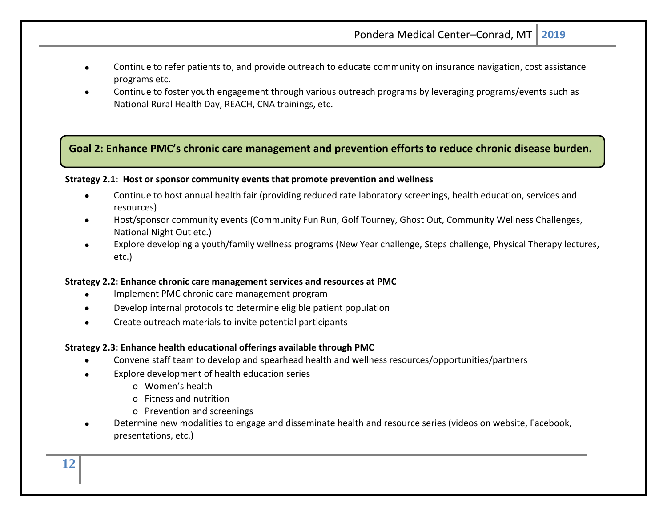- Continue to refer patients to, and provide outreach to educate community on insurance navigation, cost assistance programs etc.
- Continue to foster youth engagement through various outreach programs by leveraging programs/events such as National Rural Health Day, REACH, CNA trainings, etc.

## **Goal 2: Enhance PMC's chronic care management and prevention efforts to reduce chronic disease burden.**

#### **Strategy 2.1: Host or sponsor community events that promote prevention and wellness**

- Continue to host annual health fair (providing reduced rate laboratory screenings, health education, services and resources)
- Host/sponsor community events (Community Fun Run, Golf Tourney, Ghost Out, Community Wellness Challenges, National Night Out etc.)
- Explore developing a youth/family wellness programs (New Year challenge, Steps challenge, Physical Therapy lectures, etc.)

#### **Strategy 2.2: Enhance chronic care management services and resources at PMC**

- Implement PMC chronic care management program
- Develop internal protocols to determine eligible patient population
- Create outreach materials to invite potential participants

#### **Strategy 2.3: Enhance health educational offerings available through PMC**

- Convene staff team to develop and spearhead health and wellness resources/opportunities/partners
- Explore development of health education series
	- o Women's health
	- o Fitness and nutrition
	- o Prevention and screenings
- Determine new modalities to engage and disseminate health and resource series (videos on website, Facebook, presentations, etc.)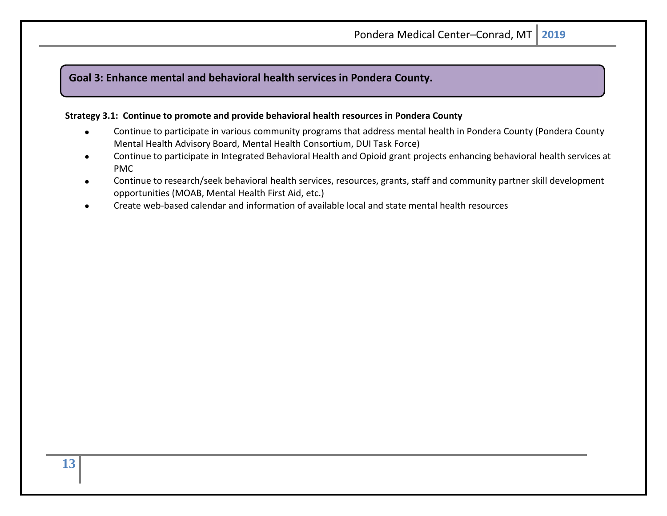## **Goal 3: Enhance mental and behavioral health services in Pondera County.**

#### **Strategy 3.1: Continue to promote and provide behavioral health resources in Pondera County**

- Continue to participate in various community programs that address mental health in Pondera County (Pondera County Mental Health Advisory Board, Mental Health Consortium, DUI Task Force)
- Continue to participate in Integrated Behavioral Health and Opioid grant projects enhancing behavioral health services at PMC
- Continue to research/seek behavioral health services, resources, grants, staff and community partner skill development opportunities (MOAB, Mental Health First Aid, etc.)
- <span id="page-12-0"></span>• Create web-based calendar and information of available local and state mental health resources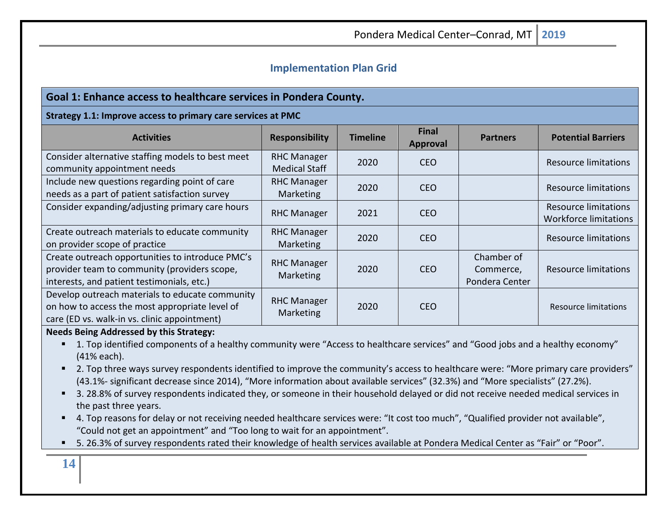## **Implementation Plan Grid**

## **Goal 1: Enhance access to healthcare services in Pondera County.**

#### **Strategy 1.1: Improve access to primary care services at PMC**

| <b>Activities</b>                                                                                                                                 | <b>Responsibility</b>                      | <b>Timeline</b> | <b>Final</b><br>Approval | <b>Partners</b>                           | <b>Potential Barriers</b>                                   |
|---------------------------------------------------------------------------------------------------------------------------------------------------|--------------------------------------------|-----------------|--------------------------|-------------------------------------------|-------------------------------------------------------------|
| Consider alternative staffing models to best meet<br>community appointment needs                                                                  | <b>RHC Manager</b><br><b>Medical Staff</b> | 2020            | <b>CEO</b>               |                                           | <b>Resource limitations</b>                                 |
| Include new questions regarding point of care<br>needs as a part of patient satisfaction survey                                                   | <b>RHC Manager</b><br><b>Marketing</b>     | 2020            | <b>CEO</b>               |                                           | <b>Resource limitations</b>                                 |
| Consider expanding/adjusting primary care hours                                                                                                   | <b>RHC Manager</b>                         | 2021            | <b>CEO</b>               |                                           | <b>Resource limitations</b><br><b>Workforce limitations</b> |
| Create outreach materials to educate community<br>on provider scope of practice                                                                   | <b>RHC Manager</b><br><b>Marketing</b>     | 2020            | <b>CEO</b>               |                                           | <b>Resource limitations</b>                                 |
| Create outreach opportunities to introduce PMC's<br>provider team to community (providers scope,<br>interests, and patient testimonials, etc.)    | <b>RHC Manager</b><br>Marketing            | 2020            | <b>CEO</b>               | Chamber of<br>Commerce,<br>Pondera Center | Resource limitations                                        |
| Develop outreach materials to educate community<br>on how to access the most appropriate level of<br>care (ED vs. walk-in vs. clinic appointment) | <b>RHC Manager</b><br>Marketing            | 2020            | <b>CEO</b>               |                                           | <b>Resource limitations</b>                                 |

#### **Needs Being Addressed by this Strategy:**

- 1. Top identified components of a healthy community were "Access to healthcare services" and "Good jobs and a healthy economy" (41% each).
- 2. Top three ways survey respondents identified to improve the community's access to healthcare were: "More primary care providers" (43.1%- significant decrease since 2014), "More information about available services" (32.3%) and "More specialists" (27.2%).
- 3. 28.8% of survey respondents indicated they, or someone in their household delayed or did not receive needed medical services in the past three years.
- 4. Top reasons for delay or not receiving needed healthcare services were: "It cost too much", "Qualified provider not available", "Could not get an appointment" and "Too long to wait for an appointment".
- 5. 26.3% of survey respondents rated their knowledge of health services available at Pondera Medical Center as "Fair" or "Poor".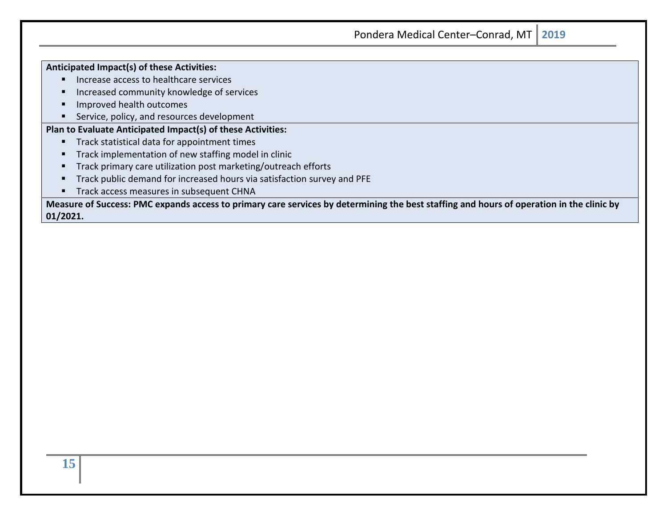| Anticipated Impact(s) of these Activities: |  |
|--------------------------------------------|--|
| Increase access to healthcare services     |  |

- Increased community knowledge of services
- Improved health outcomes
- Service, policy, and resources development

## **Plan to Evaluate Anticipated Impact(s) of these Activities:**

- Track statistical data for appointment times
- Track implementation of new staffing model in clinic
- Track primary care utilization post marketing/outreach efforts
- Track public demand for increased hours via satisfaction survey and PFE
- **■** Track access measures in subsequent CHNA

**Measure of Success: PMC expands access to primary care services by determining the best staffing and hours of operation in the clinic by 01/2021.**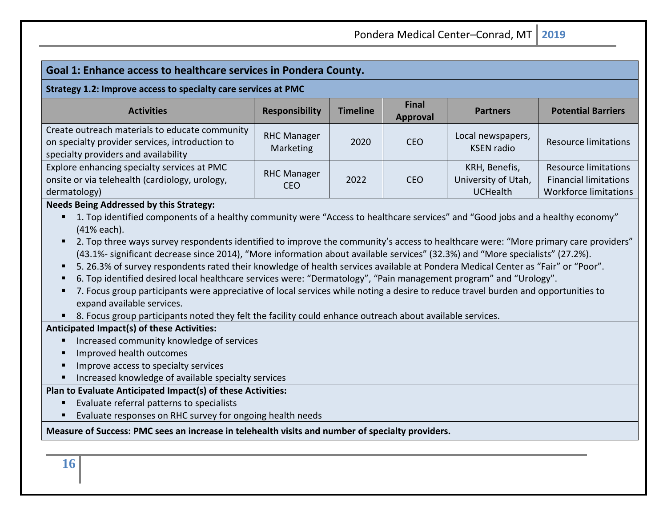## **Goal 1: Enhance access to healthcare services in Pondera County.**

#### **Strategy 1.2: Improve access to specialty care services at PMC**

| <b>Activities</b>                                                                                                                         | <b>Responsibility</b>            | <b>Timeline</b> | <b>Final</b><br><b>Approval</b> | <b>Partners</b>                                         | <b>Potential Barriers</b>                                                                   |
|-------------------------------------------------------------------------------------------------------------------------------------------|----------------------------------|-----------------|---------------------------------|---------------------------------------------------------|---------------------------------------------------------------------------------------------|
| Create outreach materials to educate community<br>on specialty provider services, introduction to<br>specialty providers and availability | <b>RHC Manager</b><br>Marketing  | 2020            | <b>CEO</b>                      | Local newspapers,<br><b>KSEN</b> radio                  | <b>Resource limitations</b>                                                                 |
| Explore enhancing specialty services at PMC<br>onsite or via telehealth (cardiology, urology,<br>dermatology)                             | <b>RHC Manager</b><br><b>CEO</b> | 2022            | <b>CEO</b>                      | KRH, Benefis,<br>University of Utah,<br><b>UCHealth</b> | <b>Resource limitations</b><br><b>Financial limitations</b><br><b>Workforce limitations</b> |

#### **Needs Being Addressed by this Strategy:**

- 1. Top identified components of a healthy community were "Access to healthcare services" and "Good jobs and a healthy economy" (41% each).
- 2. Top three ways survey respondents identified to improve the community's access to healthcare were: "More primary care providers" (43.1%- significant decrease since 2014), "More information about available services" (32.3%) and "More specialists" (27.2%).
- 5. 26.3% of survey respondents rated their knowledge of health services available at Pondera Medical Center as "Fair" or "Poor".
- 6. Top identified desired local healthcare services were: "Dermatology", "Pain management program" and "Urology".
- 7. Focus group participants were appreciative of local services while noting a desire to reduce travel burden and opportunities to expand available services.
- 8. Focus group participants noted they felt the facility could enhance outreach about available services.

## **Anticipated Impact(s) of these Activities:**

- Increased community knowledge of services
- Improved health outcomes
- Improve access to specialty services
- Increased knowledge of available specialty services

## **Plan to Evaluate Anticipated Impact(s) of these Activities:**

- Evaluate referral patterns to specialists
- Evaluate responses on RHC survey for ongoing health needs

#### **Measure of Success: PMC sees an increase in telehealth visits and number of specialty providers.**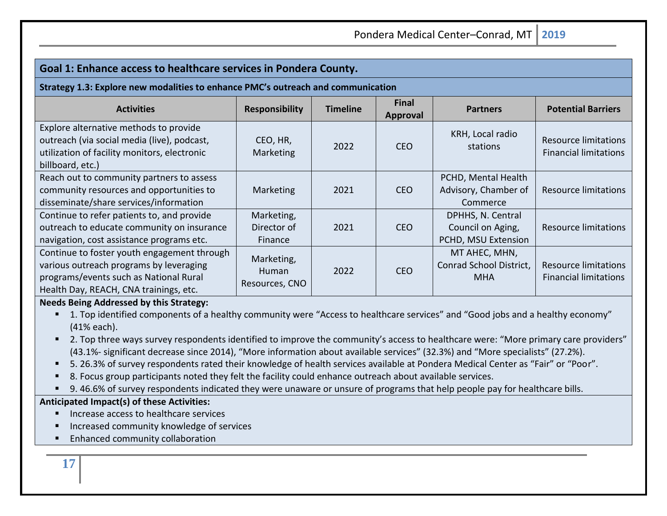| Goal 1: Enhance access to healthcare services in Pondera County.                                                                                                           |                                       |                 |                                 |                                                               |                                                             |
|----------------------------------------------------------------------------------------------------------------------------------------------------------------------------|---------------------------------------|-----------------|---------------------------------|---------------------------------------------------------------|-------------------------------------------------------------|
| Strategy 1.3: Explore new modalities to enhance PMC's outreach and communication                                                                                           |                                       |                 |                                 |                                                               |                                                             |
| <b>Activities</b>                                                                                                                                                          | <b>Responsibility</b>                 | <b>Timeline</b> | <b>Final</b><br><b>Approval</b> | <b>Partners</b>                                               | <b>Potential Barriers</b>                                   |
| Explore alternative methods to provide<br>outreach (via social media (live), podcast,<br>utilization of facility monitors, electronic<br>billboard, etc.)                  | CEO, HR,<br>Marketing                 | 2022            | <b>CEO</b>                      | KRH, Local radio<br>stations                                  | <b>Resource limitations</b><br><b>Financial limitations</b> |
| Reach out to community partners to assess<br>community resources and opportunities to<br>disseminate/share services/information                                            | Marketing                             | 2021            | <b>CEO</b>                      | PCHD, Mental Health<br>Advisory, Chamber of<br>Commerce       | Resource limitations                                        |
| Continue to refer patients to, and provide<br>outreach to educate community on insurance<br>navigation, cost assistance programs etc.                                      | Marketing,<br>Director of<br>Finance  | 2021            | <b>CEO</b>                      | DPHHS, N. Central<br>Council on Aging,<br>PCHD, MSU Extension | <b>Resource limitations</b>                                 |
| Continue to foster youth engagement through<br>various outreach programs by leveraging<br>programs/events such as National Rural<br>Health Day, REACH, CNA trainings, etc. | Marketing,<br>Human<br>Resources, CNO | 2022            | <b>CEO</b>                      | MT AHEC, MHN,<br>Conrad School District,<br><b>MHA</b>        | <b>Resource limitations</b><br><b>Financial limitations</b> |

#### **Needs Being Addressed by this Strategy:**

- 1. Top identified components of a healthy community were "Access to healthcare services" and "Good jobs and a healthy economy" (41% each).
- 2. Top three ways survey respondents identified to improve the community's access to healthcare were: "More primary care providers" (43.1%- significant decrease since 2014), "More information about available services" (32.3%) and "More specialists" (27.2%).
- 5. 26.3% of survey respondents rated their knowledge of health services available at Pondera Medical Center as "Fair" or "Poor".
- 8. Focus group participants noted they felt the facility could enhance outreach about available services.
- 9.46.6% of survey respondents indicated they were unaware or unsure of programs that help people pay for healthcare bills.

#### **Anticipated Impact(s) of these Activities:**

- Increase access to healthcare services
- Increased community knowledge of services
- Enhanced community collaboration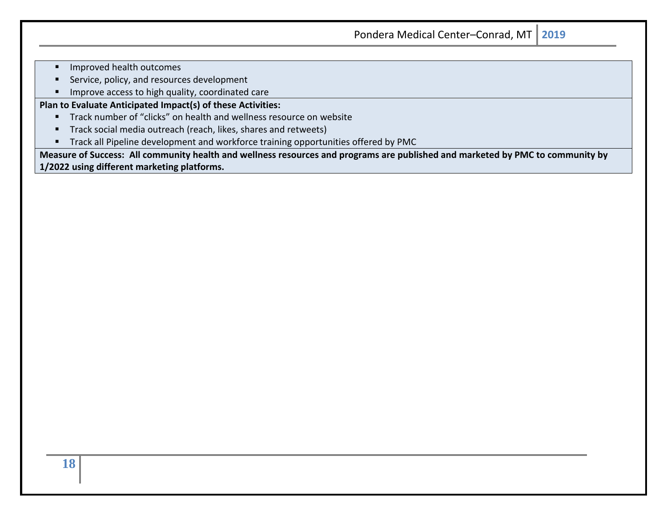- Improved health outcomes
- Service, policy, and resources development
- Improve access to high quality, coordinated care

**Plan to Evaluate Anticipated Impact(s) of these Activities:**

- Track number of "clicks" on health and wellness resource on website
- Track social media outreach (reach, likes, shares and retweets)
- **·** Track all Pipeline development and workforce training opportunities offered by PMC

**Measure of Success: All community health and wellness resources and programs are published and marketed by PMC to community by 1/2022 using different marketing platforms.**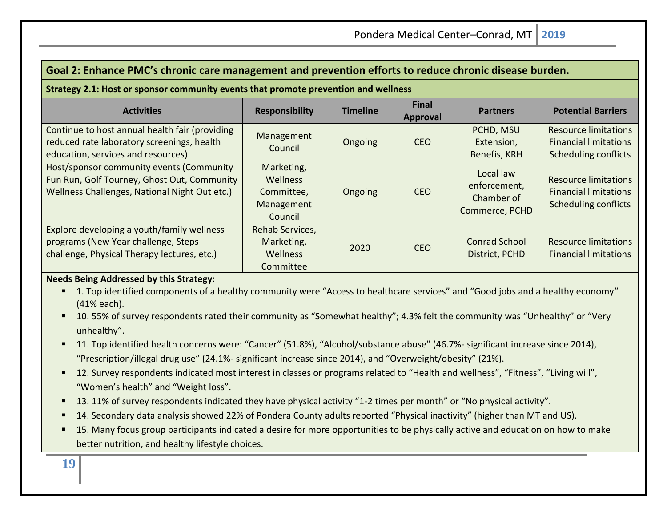## **Goal 2: Enhance PMC's chronic care management and prevention efforts to reduce chronic disease burden.**

#### **Strategy 2.1: Host or sponsor community events that promote prevention and wellness**

| <b>Activities</b>                                                                                                                        | <b>Responsibility</b>                                                | <b>Timeline</b> | <b>Final</b><br>Approval | <b>Partners</b>                                           | <b>Potential Barriers</b>                                                                  |
|------------------------------------------------------------------------------------------------------------------------------------------|----------------------------------------------------------------------|-----------------|--------------------------|-----------------------------------------------------------|--------------------------------------------------------------------------------------------|
| Continue to host annual health fair (providing<br>reduced rate laboratory screenings, health<br>education, services and resources)       | Management<br>Council                                                | Ongoing         | <b>CEO</b>               | PCHD, MSU<br>Extension,<br>Benefis, KRH                   | <b>Resource limitations</b><br><b>Financial limitations</b><br><b>Scheduling conflicts</b> |
| Host/sponsor community events (Community<br>Fun Run, Golf Tourney, Ghost Out, Community<br>Wellness Challenges, National Night Out etc.) | Marketing,<br><b>Wellness</b><br>Committee,<br>Management<br>Council | Ongoing         | <b>CEO</b>               | Local law<br>enforcement,<br>Chamber of<br>Commerce, PCHD | <b>Resource limitations</b><br><b>Financial limitations</b><br><b>Scheduling conflicts</b> |
| Explore developing a youth/family wellness<br>programs (New Year challenge, Steps<br>challenge, Physical Therapy lectures, etc.)         | Rehab Services,<br>Marketing,<br><b>Wellness</b><br>Committee        | 2020            | <b>CEO</b>               | <b>Conrad School</b><br>District, PCHD                    | Resource limitations<br><b>Financial limitations</b>                                       |

#### **Needs Being Addressed by this Strategy:**

- 1. Top identified components of a healthy community were "Access to healthcare services" and "Good jobs and a healthy economy" (41% each).
- 10. 55% of survey respondents rated their community as "Somewhat healthy"; 4.3% felt the community was "Unhealthy" or "Very unhealthy".
- 11. Top identified health concerns were: "Cancer" (51.8%), "Alcohol/substance abuse" (46.7%- significant increase since 2014), "Prescription/illegal drug use" (24.1%- significant increase since 2014), and "Overweight/obesity" (21%).
- 12. Survey respondents indicated most interest in classes or programs related to "Health and wellness", "Fitness", "Living will", "Women's health" and "Weight loss".
- 13. 11% of survey respondents indicated they have physical activity "1-2 times per month" or "No physical activity".
- 14. Secondary data analysis showed 22% of Pondera County adults reported "Physical inactivity" (higher than MT and US).
- 15. Many focus group participants indicated a desire for more opportunities to be physically active and education on how to make better nutrition, and healthy lifestyle choices.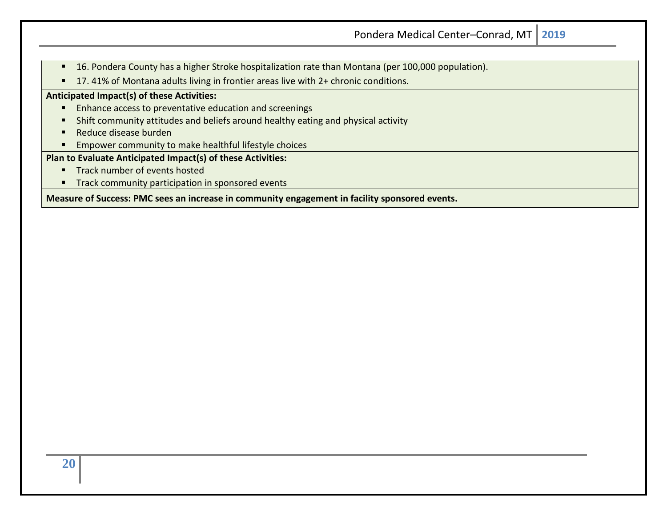- 16. Pondera County has a higher Stroke hospitalization rate than Montana (per 100,000 population).
- 17.41% of Montana adults living in frontier areas live with 2+ chronic conditions.

#### **Anticipated Impact(s) of these Activities:**

- Enhance access to preventative education and screenings
- **E** Shift community attitudes and beliefs around healthy eating and physical activity
- Reduce disease burden
- Empower community to make healthful lifestyle choices

#### **Plan to Evaluate Anticipated Impact(s) of these Activities:**

- Track number of events hosted
- **E** Track community participation in sponsored events

**Measure of Success: PMC sees an increase in community engagement in facility sponsored events.**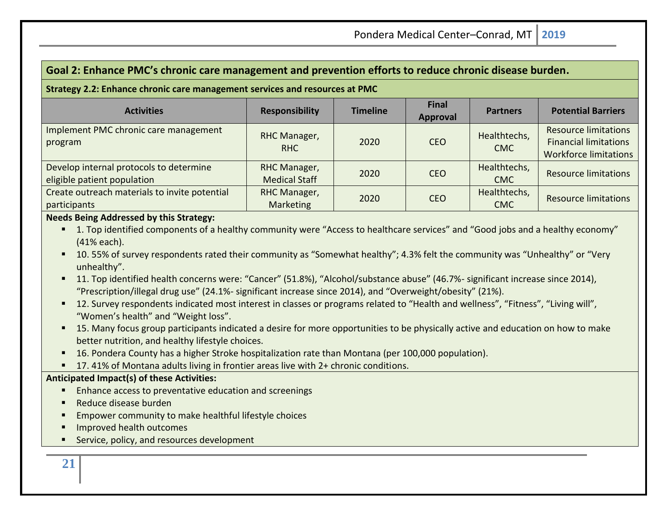## **Goal 2: Enhance PMC's chronic care management and prevention efforts to reduce chronic disease burden.**

#### **Strategy 2.2: Enhance chronic care management services and resources at PMC**

| <b>Activities</b>                                                      | <b>Responsibility</b>                | <b>Timeline</b> | <b>Final</b><br>Approval | <b>Partners</b>            | <b>Potential Barriers</b>                                                                   |
|------------------------------------------------------------------------|--------------------------------------|-----------------|--------------------------|----------------------------|---------------------------------------------------------------------------------------------|
| Implement PMC chronic care management<br>program                       | RHC Manager,<br><b>RHC</b>           | 2020            | <b>CEO</b>               | Healthtechs,<br><b>CMC</b> | <b>Resource limitations</b><br><b>Financial limitations</b><br><b>Workforce limitations</b> |
| Develop internal protocols to determine<br>eligible patient population | RHC Manager,<br><b>Medical Staff</b> | 2020            | <b>CEO</b>               | Healthtechs,<br><b>CMC</b> | <b>Resource limitations</b>                                                                 |
| Create outreach materials to invite potential<br>participants          | RHC Manager,<br>Marketing            | 2020            | <b>CEO</b>               | Healthtechs,<br><b>CMC</b> | <b>Resource limitations</b>                                                                 |

### **Needs Being Addressed by this Strategy:**

- 1. Top identified components of a healthy community were "Access to healthcare services" and "Good jobs and a healthy economy" (41% each).
- 10. 55% of survey respondents rated their community as "Somewhat healthy"; 4.3% felt the community was "Unhealthy" or "Very unhealthy".
- 11. Top identified health concerns were: "Cancer" (51.8%), "Alcohol/substance abuse" (46.7%- significant increase since 2014), "Prescription/illegal drug use" (24.1%- significant increase since 2014), and "Overweight/obesity" (21%).
- 12. Survey respondents indicated most interest in classes or programs related to "Health and wellness", "Fitness", "Living will", "Women's health" and "Weight loss".
- 15. Many focus group participants indicated a desire for more opportunities to be physically active and education on how to make better nutrition, and healthy lifestyle choices.
- 16. Pondera County has a higher Stroke hospitalization rate than Montana (per 100,000 population).
- 17.41% of Montana adults living in frontier areas live with 2+ chronic conditions.

#### **Anticipated Impact(s) of these Activities:**

- Enhance access to preventative education and screenings
- Reduce disease burden
- Empower community to make healthful lifestyle choices
- Improved health outcomes
- Service, policy, and resources development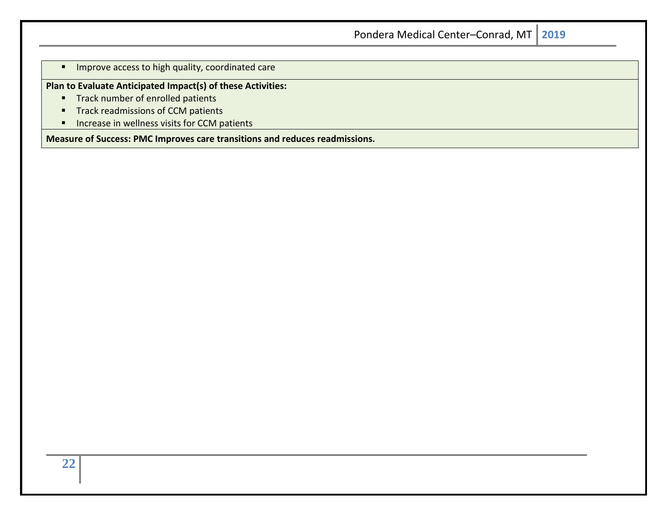**·** Improve access to high quality, coordinated care

### **Plan to Evaluate Anticipated Impact(s) of these Activities:**

- Track number of enrolled patients
- Track readmissions of CCM patients
- Increase in wellness visits for CCM patients

**Measure of Success: PMC Improves care transitions and reduces readmissions.**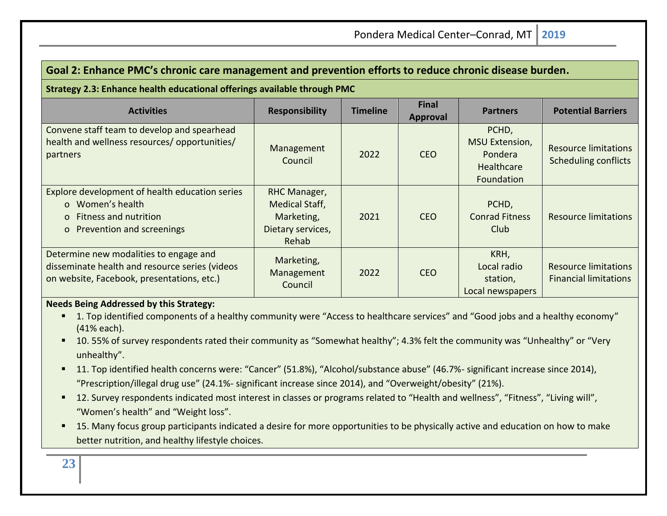| Goal 2: Enhance PMC's chronic care management and prevention efforts to reduce chronic disease burden.                                 |                                                                                          |                 |                                 |                                                                       |                                                             |
|----------------------------------------------------------------------------------------------------------------------------------------|------------------------------------------------------------------------------------------|-----------------|---------------------------------|-----------------------------------------------------------------------|-------------------------------------------------------------|
| Strategy 2.3: Enhance health educational offerings available through PMC                                                               |                                                                                          |                 |                                 |                                                                       |                                                             |
| <b>Activities</b>                                                                                                                      | <b>Responsibility</b>                                                                    | <b>Timeline</b> | <b>Final</b><br><b>Approval</b> | <b>Partners</b>                                                       | <b>Potential Barriers</b>                                   |
| Convene staff team to develop and spearhead<br>health and wellness resources/ opportunities/<br>partners                               | Management<br>Council                                                                    | 2022            | <b>CEO</b>                      | PCHD,<br><b>MSU Extension,</b><br>Pondera<br>Healthcare<br>Foundation | Resource limitations<br><b>Scheduling conflicts</b>         |
| Explore development of health education series<br>o Women's health<br>o Fitness and nutrition<br>o Prevention and screenings           | <b>RHC Manager,</b><br><b>Medical Staff,</b><br>Marketing,<br>Dietary services,<br>Rehab | 2021            | <b>CEO</b>                      | PCHD,<br><b>Conrad Fitness</b><br>Club.                               | <b>Resource limitations</b>                                 |
| Determine new modalities to engage and<br>disseminate health and resource series (videos<br>on website, Facebook, presentations, etc.) | Marketing,<br>Management<br>Council                                                      | 2022            | <b>CEO</b>                      | KRH,<br>Local radio<br>station,<br>Local newspapers                   | <b>Resource limitations</b><br><b>Financial limitations</b> |

## **Needs Being Addressed by this Strategy:**

- 1. Top identified components of a healthy community were "Access to healthcare services" and "Good jobs and a healthy economy" (41% each).
- 10. 55% of survey respondents rated their community as "Somewhat healthy"; 4.3% felt the community was "Unhealthy" or "Very unhealthy".
- 11. Top identified health concerns were: "Cancer" (51.8%), "Alcohol/substance abuse" (46.7%- significant increase since 2014), "Prescription/illegal drug use" (24.1%- significant increase since 2014), and "Overweight/obesity" (21%).
- 12. Survey respondents indicated most interest in classes or programs related to "Health and wellness", "Fitness", "Living will", "Women's health" and "Weight loss".
- 15. Many focus group participants indicated a desire for more opportunities to be physically active and education on how to make better nutrition, and healthy lifestyle choices.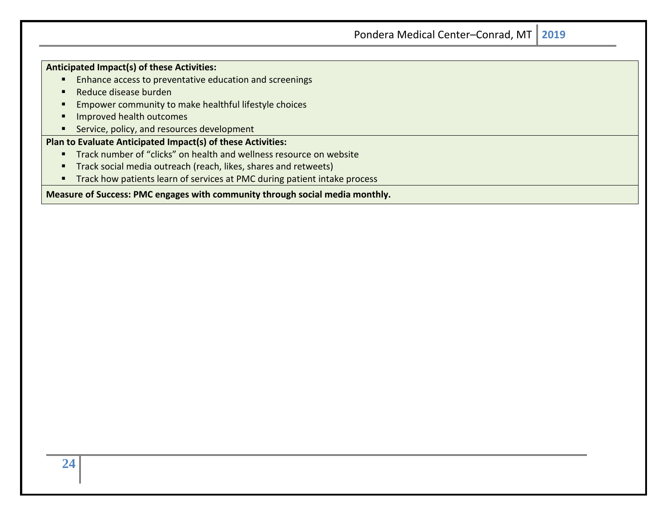| <b>Anticipated Impact(s) of these Activities:</b> |  |
|---------------------------------------------------|--|
|---------------------------------------------------|--|

- Enhance access to preventative education and screenings
- Reduce disease burden
- Empower community to make healthful lifestyle choices
- **■** Improved health outcomes
- Service, policy, and resources development

## **Plan to Evaluate Anticipated Impact(s) of these Activities:**

- Track number of "clicks" on health and wellness resource on website
- **Track social media outreach (reach, likes, shares and retweets)**
- Track how patients learn of services at PMC during patient intake process

#### **Measure of Success: PMC engages with community through social media monthly.**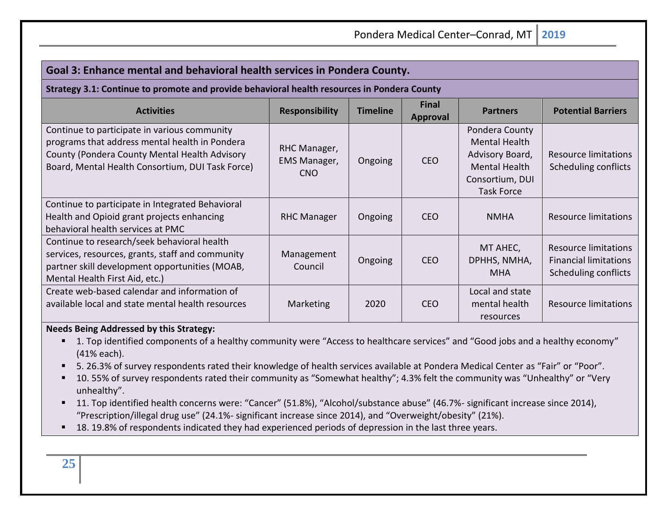| Goal 3: Enhance mental and behavioral health services in Pondera County.                                                                                                                            |                                            |                 |                                 |                                                                                                                           |                                                                              |
|-----------------------------------------------------------------------------------------------------------------------------------------------------------------------------------------------------|--------------------------------------------|-----------------|---------------------------------|---------------------------------------------------------------------------------------------------------------------------|------------------------------------------------------------------------------|
| Strategy 3.1: Continue to promote and provide behavioral health resources in Pondera County                                                                                                         |                                            |                 |                                 |                                                                                                                           |                                                                              |
| <b>Activities</b>                                                                                                                                                                                   | <b>Responsibility</b>                      | <b>Timeline</b> | <b>Final</b><br><b>Approval</b> | <b>Partners</b>                                                                                                           | <b>Potential Barriers</b>                                                    |
| Continue to participate in various community<br>programs that address mental health in Pondera<br>County (Pondera County Mental Health Advisory<br>Board, Mental Health Consortium, DUI Task Force) | RHC Manager,<br>EMS Manager,<br><b>CNO</b> | Ongoing         | <b>CEO</b>                      | Pondera County<br><b>Mental Health</b><br>Advisory Board,<br><b>Mental Health</b><br>Consortium, DUI<br><b>Task Force</b> | Resource limitations<br>Scheduling conflicts                                 |
| Continue to participate in Integrated Behavioral<br>Health and Opioid grant projects enhancing<br>behavioral health services at PMC                                                                 | <b>RHC Manager</b>                         | Ongoing         | <b>CEO</b>                      | <b>NMHA</b>                                                                                                               | Resource limitations                                                         |
| Continue to research/seek behavioral health<br>services, resources, grants, staff and community<br>partner skill development opportunities (MOAB,<br>Mental Health First Aid, etc.)                 | Management<br>Council                      | Ongoing         | <b>CEO</b>                      | MT AHEC,<br>DPHHS, NMHA,<br><b>MHA</b>                                                                                    | Resource limitations<br><b>Financial limitations</b><br>Scheduling conflicts |
| Create web-based calendar and information of<br>available local and state mental health resources                                                                                                   | Marketing                                  | 2020            | <b>CEO</b>                      | Local and state<br>mental health<br>resources                                                                             | Resource limitations                                                         |

#### **Needs Being Addressed by this Strategy:**

- 1. Top identified components of a healthy community were "Access to healthcare services" and "Good jobs and a healthy economy" (41% each).
- 5. 26.3% of survey respondents rated their knowledge of health services available at Pondera Medical Center as "Fair" or "Poor".
- 10. 55% of survey respondents rated their community as "Somewhat healthy"; 4.3% felt the community was "Unhealthy" or "Very unhealthy".
- 11. Top identified health concerns were: "Cancer" (51.8%), "Alcohol/substance abuse" (46.7%- significant increase since 2014), "Prescription/illegal drug use" (24.1%- significant increase since 2014), and "Overweight/obesity" (21%).
- 18. 19.8% of respondents indicated they had experienced periods of depression in the last three years.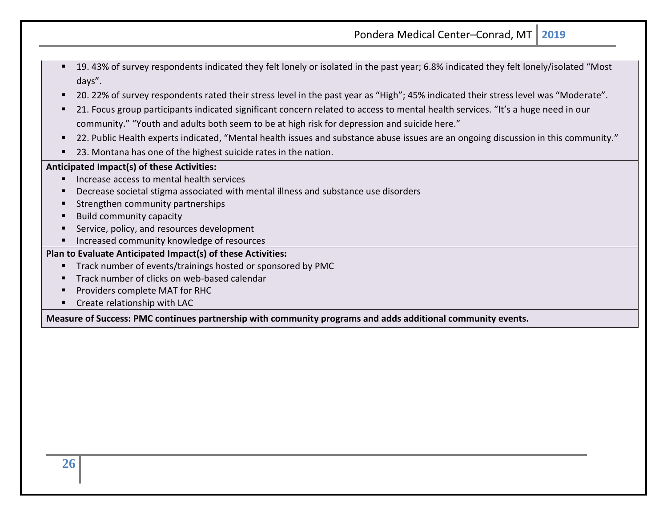- 19. 43% of survey respondents indicated they felt lonely or isolated in the past year; 6.8% indicated they felt lonely/isolated "Most days".
- 20. 22% of survey respondents rated their stress level in the past year as "High"; 45% indicated their stress level was "Moderate".
- 21. Focus group participants indicated significant concern related to access to mental health services. "It's a huge need in our community." "Youth and adults both seem to be at high risk for depression and suicide here."
- 22. Public Health experts indicated, "Mental health issues and substance abuse issues are an ongoing discussion in this community."
- 23. Montana has one of the highest suicide rates in the nation.

#### **Anticipated Impact(s) of these Activities:**

- Increase access to mental health services
- Decrease societal stigma associated with mental illness and substance use disorders
- Strengthen community partnerships
- Build community capacity
- Service, policy, and resources development
- Increased community knowledge of resources

#### **Plan to Evaluate Anticipated Impact(s) of these Activities:**

- Track number of events/trainings hosted or sponsored by PMC
- Track number of clicks on web-based calendar
- Providers complete MAT for RHC
- Create relationship with LAC

<span id="page-25-0"></span>**Measure of Success: PMC continues partnership with community programs and adds additional community events.**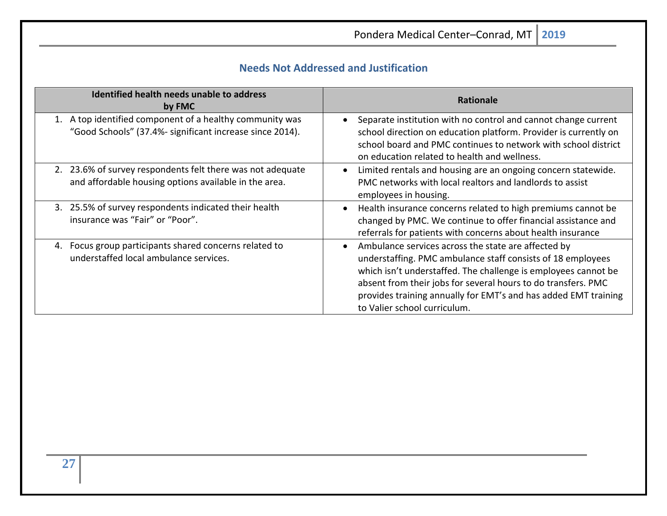## **Needs Not Addressed and Justification**

| Identified health needs unable to address<br>by FMC                                                                  | <b>Rationale</b>                                                                                                                                                                                                                                                                                                                                                      |
|----------------------------------------------------------------------------------------------------------------------|-----------------------------------------------------------------------------------------------------------------------------------------------------------------------------------------------------------------------------------------------------------------------------------------------------------------------------------------------------------------------|
| 1. A top identified component of a healthy community was<br>"Good Schools" (37.4%- significant increase since 2014). | Separate institution with no control and cannot change current<br>school direction on education platform. Provider is currently on<br>school board and PMC continues to network with school district<br>on education related to health and wellness.                                                                                                                  |
| 2. 23.6% of survey respondents felt there was not adequate<br>and affordable housing options available in the area.  | Limited rentals and housing are an ongoing concern statewide.<br>$\bullet$<br>PMC networks with local realtors and landlords to assist<br>employees in housing.                                                                                                                                                                                                       |
| 3. 25.5% of survey respondents indicated their health<br>insurance was "Fair" or "Poor".                             | Health insurance concerns related to high premiums cannot be<br>$\bullet$<br>changed by PMC. We continue to offer financial assistance and<br>referrals for patients with concerns about health insurance                                                                                                                                                             |
| Focus group participants shared concerns related to<br>4.<br>understaffed local ambulance services.                  | Ambulance services across the state are affected by<br>$\bullet$<br>understaffing. PMC ambulance staff consists of 18 employees<br>which isn't understaffed. The challenge is employees cannot be<br>absent from their jobs for several hours to do transfers. PMC<br>provides training annually for EMT's and has added EMT training<br>to Valier school curriculum. |